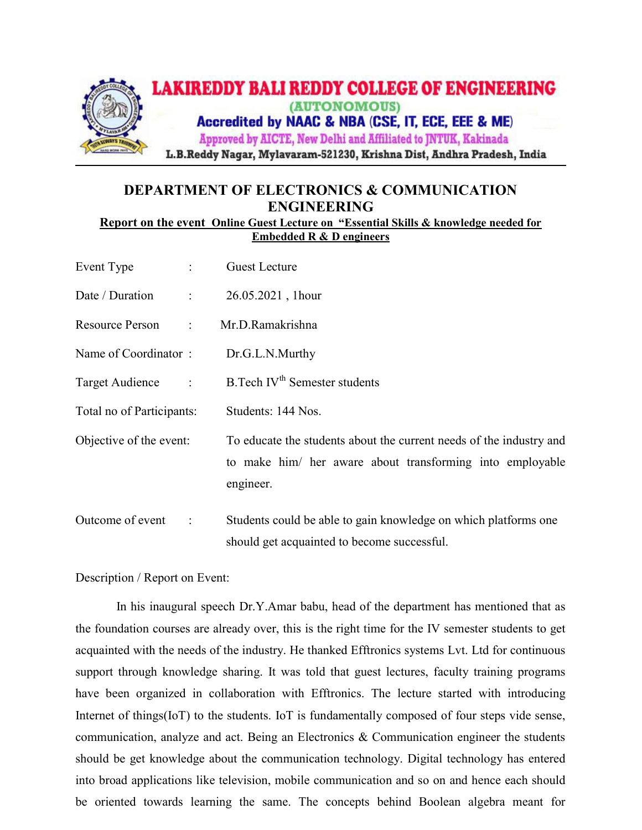

## DEPARTMENT OF ELECTRONICS & COMMUNICATION ENGINEERING

Report on the event Online Guest Lecture on "Essential Skills & knowledge needed for Embedded R & D engineers

| Event Type                                         | <b>Guest Lecture</b>                                                                                                                          |
|----------------------------------------------------|-----------------------------------------------------------------------------------------------------------------------------------------------|
| Date / Duration<br>$\ddot{\phantom{a}}$            | 26.05.2021, 1hour                                                                                                                             |
| Resource Person<br>$\mathbb{Z}^n$ . $\mathbb{Z}^n$ | Mr.D.Ramakrishna                                                                                                                              |
| Name of Coordinator:                               | Dr.G.L.N.Murthy                                                                                                                               |
| Target Audience<br>$\ddot{\mathbb{C}}$             | B. Tech IV <sup>th</sup> Semester students                                                                                                    |
| Total no of Participants:                          | Students: 144 Nos.                                                                                                                            |
| Objective of the event:                            | To educate the students about the current needs of the industry and<br>to make him/ her aware about transforming into employable<br>engineer. |
| Outcome of event<br>$\ddot{\cdot}$                 | Students could be able to gain knowledge on which platforms one<br>should get acquainted to become successful.                                |

## Description / Report on Event:

 In his inaugural speech Dr.Y.Amar babu, head of the department has mentioned that as the foundation courses are already over, this is the right time for the IV semester students to get acquainted with the needs of the industry. He thanked Efftronics systems Lvt. Ltd for continuous support through knowledge sharing. It was told that guest lectures, faculty training programs have been organized in collaboration with Efftronics. The lecture started with introducing Internet of things(IoT) to the students. IoT is fundamentally composed of four steps vide sense, communication, analyze and act. Being an Electronics & Communication engineer the students should be get knowledge about the communication technology. Digital technology has entered into broad applications like television, mobile communication and so on and hence each should be oriented towards learning the same. The concepts behind Boolean algebra meant for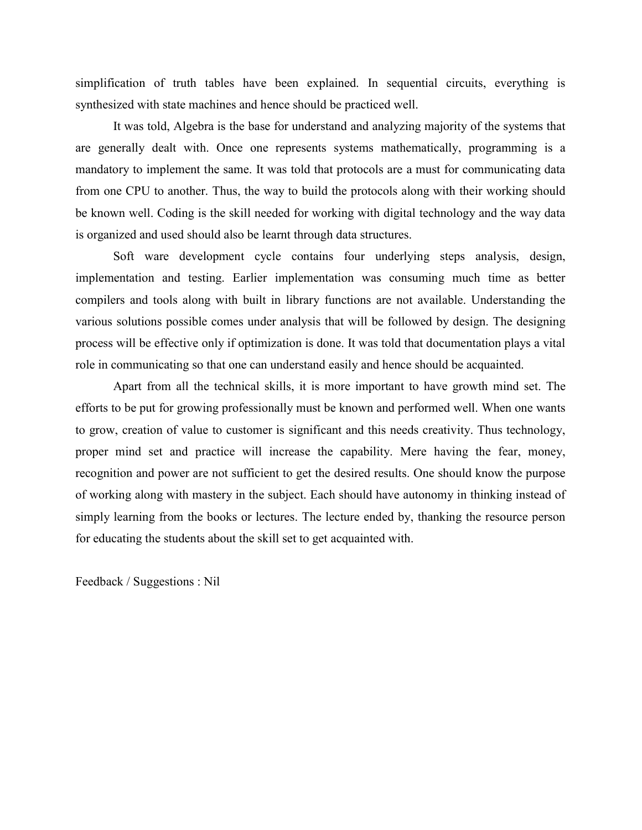simplification of truth tables have been explained. In sequential circuits, everything is synthesized with state machines and hence should be practiced well.

It was told, Algebra is the base for understand and analyzing majority of the systems that are generally dealt with. Once one represents systems mathematically, programming is a mandatory to implement the same. It was told that protocols are a must for communicating data from one CPU to another. Thus, the way to build the protocols along with their working should be known well. Coding is the skill needed for working with digital technology and the way data is organized and used should also be learnt through data structures.

Soft ware development cycle contains four underlying steps analysis, design, implementation and testing. Earlier implementation was consuming much time as better compilers and tools along with built in library functions are not available. Understanding the various solutions possible comes under analysis that will be followed by design. The designing process will be effective only if optimization is done. It was told that documentation plays a vital role in communicating so that one can understand easily and hence should be acquainted.

Apart from all the technical skills, it is more important to have growth mind set. The efforts to be put for growing professionally must be known and performed well. When one wants to grow, creation of value to customer is significant and this needs creativity. Thus technology, proper mind set and practice will increase the capability. Mere having the fear, money, recognition and power are not sufficient to get the desired results. One should know the purpose of working along with mastery in the subject. Each should have autonomy in thinking instead of simply learning from the books or lectures. The lecture ended by, thanking the resource person for educating the students about the skill set to get acquainted with.

Feedback / Suggestions : Nil